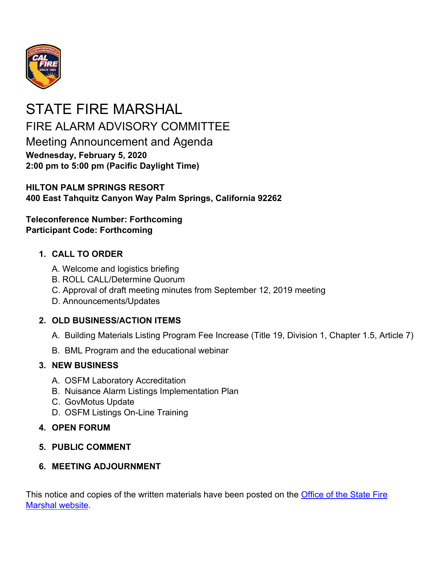

# STATE FIRE MARSHAL FIRE ALARM ADVISORY COMMITTEE Meeting Announcement and Agenda **Wednesday, February 5, 2020 2:00 pm to 5:00 pm (Pacific Daylight Time)**

### **HILTON PALM SPRINGS RESORT 400 East Tahquitz Canyon Way Palm Springs, California 92262**

**Teleconference Number: Forthcoming Participant Code: Forthcoming** 

## **1. CALL TO ORDER**

- A. Welcome and logistics briefing
- B. ROLL CALL/Determine Quorum
- C. Approval of draft meeting minutes from September 12, 2019 meeting
- D. Announcements/Updates

## **2. OLD BUSINESS/ACTION ITEMS**

- A. Building Materials Listing Program Fee Increase (Title 19, Division 1, Chapter 1.5, Article 7)
- B. BML Program and the educational webinar

## **3. NEW BUSINESS**

- A. OSFM Laboratory Accreditation
- B. Nuisance Alarm Listings Implementation Plan
- C. GovMotus Update
- D. OSFM Listings On-Line Training

## **4. OPEN FORUM**

## **5. PUBLIC COMMENT**

## **6. MEETING ADJOURNMENT**

This notice and copies of the written materials have been posted on the **Office of the State Fire** Marshal website.